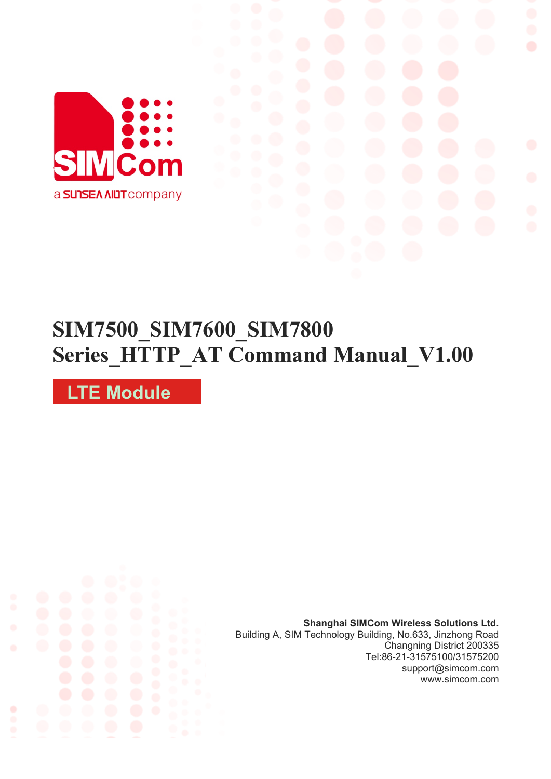

# **SIM7500\_SIM7600\_SIM7800 Series\_HTTP\_AT Command Manual\_V1.00**

**LTE Module**

**Shanghai SIMCom Wireless Solutions Ltd.** Building A, SIM Technology Building, No.633, Jinzhong Road Changning District 200335 [Tel:86-21-31575100/31575200](tel:86-21-31575100/31575200) support@simcom.com www.simcom.com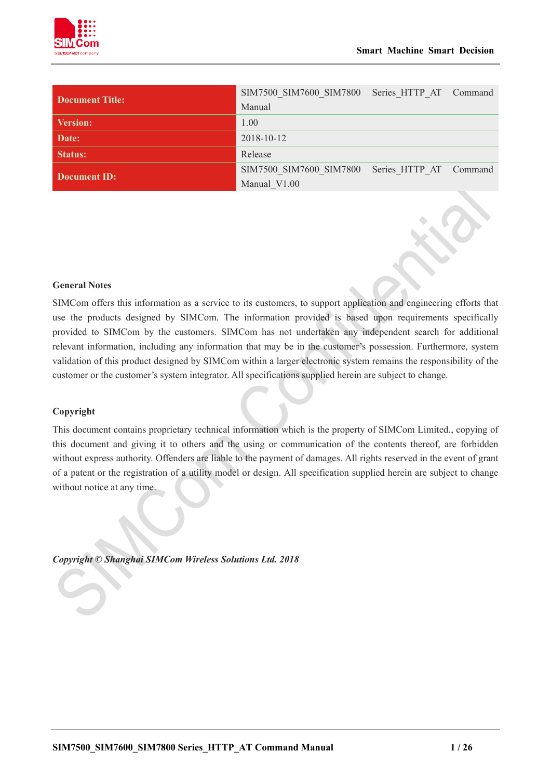

| <b>Document Title:</b> | SIM7500 SIM7600 SIM7800 Series HTTP AT Command |  |
|------------------------|------------------------------------------------|--|
|                        | Manual                                         |  |
| <b>Version:</b>        | 1.00                                           |  |
| Date:                  | 2018-10-12                                     |  |
| <b>Status:</b>         | Release                                        |  |
| Document ID:           | SIM7500 SIM7600 SIM7800 Series HTTP AT Command |  |
|                        | Manual V1.00                                   |  |

## **General Notes**

SIMCom offers this information as a service to its customers, to support application and engineering efforts that use the products designed by SIMCom. The information provided is based upon requirements specifically provided to SIMCom by the customers. SIMCom has not undertaken any independent search for additional relevant information, including any information that may be in the customer's possession. Furthermore, system validation of this product designed by SIMCom within a larger electronic system remains the responsibility of the customer or the customer's system integrator. All specifications supplied herein are subject to change.

### **Copyright**

This document contains proprietary technical information which is the property of SIMCom Limited., copying of this document and giving it to others and the using or communication of the contents thereof, are forbidden without express authority. Offenders are liable to the payment of damages. All rights reserved in the event of grant of a patent or the registration of a utility model or design. All specification supplied herein are subject to change without notice at any time.

*Copyright © Shanghai SIMCom Wireless Solutions Ltd. 2018*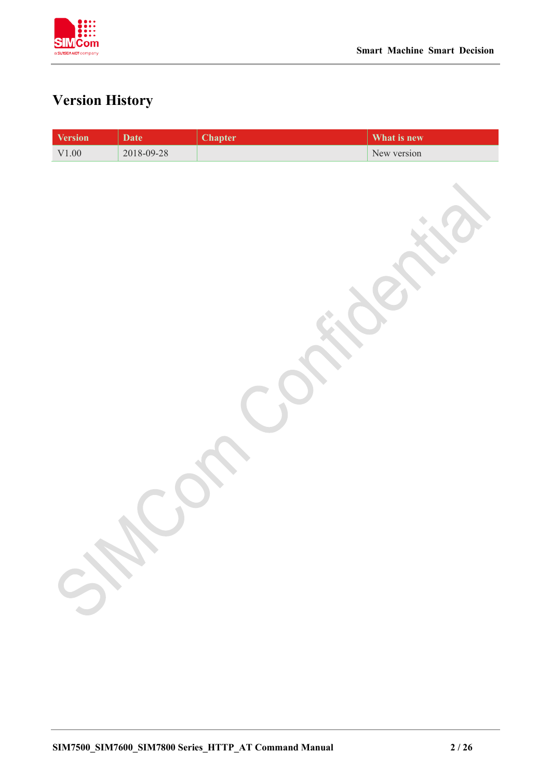

# <span id="page-2-0"></span>**Version History**

| <b>Version</b> | <b>Date</b> | <b>Chapter</b> | What is new |
|----------------|-------------|----------------|-------------|
| $\rm V1.00$    | 2018-09-28  |                | New version |
| 520            |             |                |             |
|                |             |                |             |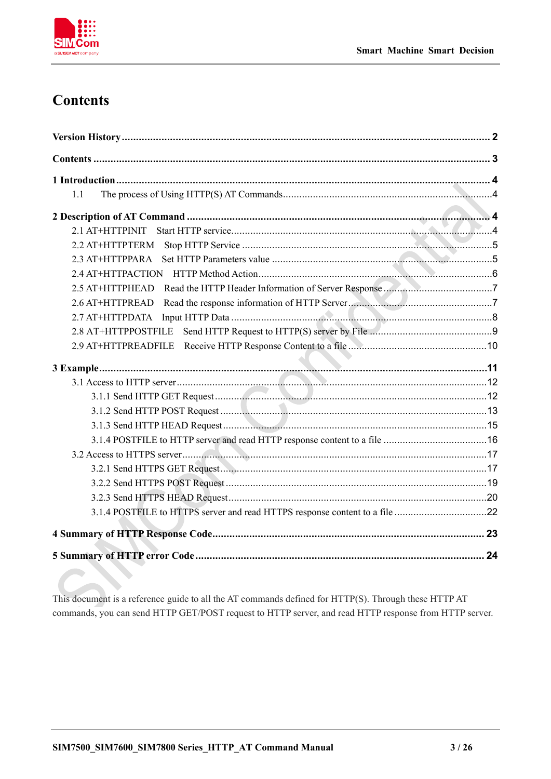

# <span id="page-3-0"></span>**Contents**

| 1.1 |  |
|-----|--|
|     |  |
|     |  |
|     |  |
|     |  |
|     |  |
|     |  |
|     |  |
|     |  |
|     |  |
|     |  |
|     |  |
|     |  |
|     |  |
|     |  |
|     |  |
|     |  |
|     |  |
|     |  |
|     |  |
|     |  |
|     |  |
|     |  |
|     |  |

This document is a reference guide to all the AT commands defined for HTTP(S). Through these HTTP AT commands, you can send HTTP GET/POST request to HTTP server, and read HTTP response from HTTP server.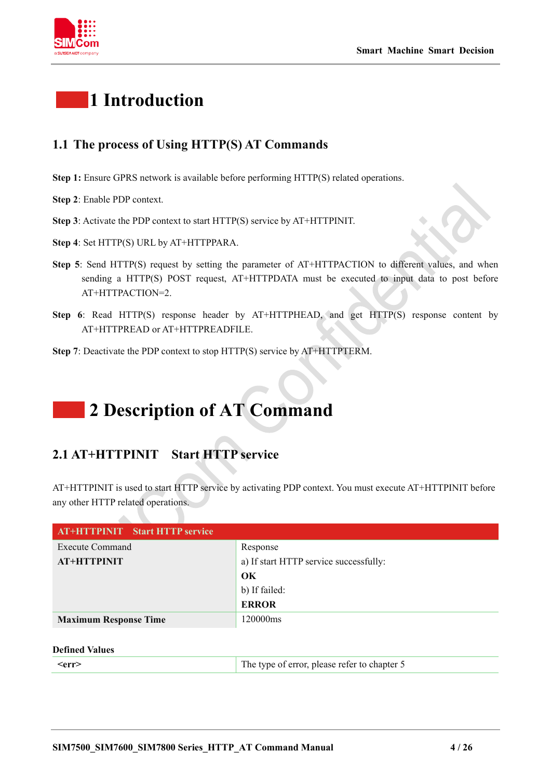



# <span id="page-4-0"></span>**1 Introduction**

# <span id="page-4-1"></span>**1.1 The process of Using HTTP(S) AT Commands**

- **Step 1:** Ensure GPRS network is available before performing HTTP(S) related operations.
- **Step 2**: Enable PDP context.
- **Step 3**: Activate the PDP context to start HTTP(S) service by AT+HTTPINIT.
- **Step 4**: Set HTTP(S) URL by AT+HTTPPARA.
- **Step 5**: Send HTTP(S) request by setting the parameter of AT+HTTPACTION to different values, and when sending a HTTP(S) POST request, AT+HTTPDATA must be executed to input data to post before AT+HTTPACTION=2.
- **Step 6**: Read HTTP(S) response header by AT+HTTPHEAD, and get HTTP(S) response content by AT+HTTPREAD or AT+HTTPREADFILE.
- <span id="page-4-2"></span>**Step 7**: Deactivate the PDP context to stop HTTP(S) service by AT+HTTPTERM.

# **2 Description of AT Command**

# <span id="page-4-3"></span>**2.1 AT+HTTPINIT Start HTTP service**

AT+HTTPINIT is used to start HTTP service by activating PDP context. You must execute AT+HTTPINIT before any other HTTP related operations.

| <b>AT+HTTPINIT</b> Start HTTP service |                                        |
|---------------------------------------|----------------------------------------|
| <b>Execute Command</b>                | Response                               |
| <b>AT+HTTPINIT</b>                    | a) If start HTTP service successfully: |
|                                       | OK                                     |
|                                       | b) If failed:                          |
|                                       | <b>ERROR</b>                           |
| <b>Maximum Response Time</b>          | 120000ms                               |

## **Defined Values**

| ∠err` | The type of error, please refer to chapter 5 |
|-------|----------------------------------------------|
|       |                                              |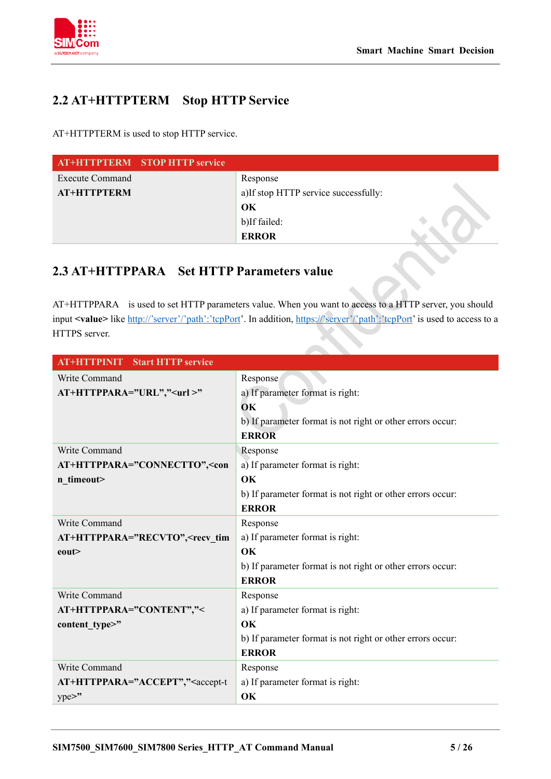

# <span id="page-5-0"></span>**2.2 AT+HTTPTERM Stop HTTP Service**

AT+HTTPTERM is used to stop HTTP service.

|                        | <b>AT+HTTPTERM</b> STOP HTTP service |                                       |  |
|------------------------|--------------------------------------|---------------------------------------|--|
| <b>Execute Command</b> |                                      | Response                              |  |
| <b>AT+HTTPTERM</b>     |                                      | a) If stop HTTP service successfully: |  |
|                        |                                      | OK                                    |  |
|                        |                                      | b)If failed:                          |  |
|                        |                                      | <b>ERROR</b>                          |  |

# <span id="page-5-1"></span>**2.3 AT+HTTPPARA Set HTTP Parameters value**

AT+HTTPPARA is used to set HTTP parameters value. When you want to access to a HTTP server, you should input **<value>** like [http://'server'/'path':'tcpPort'](http://). In addition[, https://'server'/'path':'tcpPort'](https://) is used to access to a HTTPS server.

| <b>AT+HTTPINIT</b> Start HTTP service                                                         |                                                            |
|-----------------------------------------------------------------------------------------------|------------------------------------------------------------|
| Write Command                                                                                 | Response                                                   |
| AT+HTTPPARA="URL"," <url>"</url>                                                              | a) If parameter format is right:                           |
|                                                                                               | OK                                                         |
|                                                                                               | b) If parameter format is not right or other errors occur: |
|                                                                                               | <b>ERROR</b>                                               |
| Write Command                                                                                 | Response                                                   |
| AT+HTTPPARA="CONNECTTO", <con< th=""><th>a) If parameter format is right:</th></con<>         | a) If parameter format is right:                           |
| n_timeout>                                                                                    | OK                                                         |
|                                                                                               | b) If parameter format is not right or other errors occur: |
|                                                                                               | <b>ERROR</b>                                               |
| Write Command                                                                                 | Response                                                   |
| AT+HTTPPARA="RECVTO", <recv th="" tim<=""><th>a) If parameter format is right:</th></recv>    | a) If parameter format is right:                           |
| $e$ out $\ge$                                                                                 | OK                                                         |
|                                                                                               | b) If parameter format is not right or other errors occur: |
|                                                                                               | <b>ERROR</b>                                               |
| Write Command                                                                                 | Response                                                   |
| AT+HTTPPARA="CONTENT","<                                                                      | a) If parameter format is right:                           |
| content type>"                                                                                | OK                                                         |
|                                                                                               | b) If parameter format is not right or other errors occur: |
|                                                                                               | <b>ERROR</b>                                               |
| Write Command                                                                                 | Response                                                   |
| AT+HTTPPARA="ACCEPT"," <accept-t< th=""><th>a) If parameter format is right:</th></accept-t<> | a) If parameter format is right:                           |
| $ype>$ "                                                                                      | OK                                                         |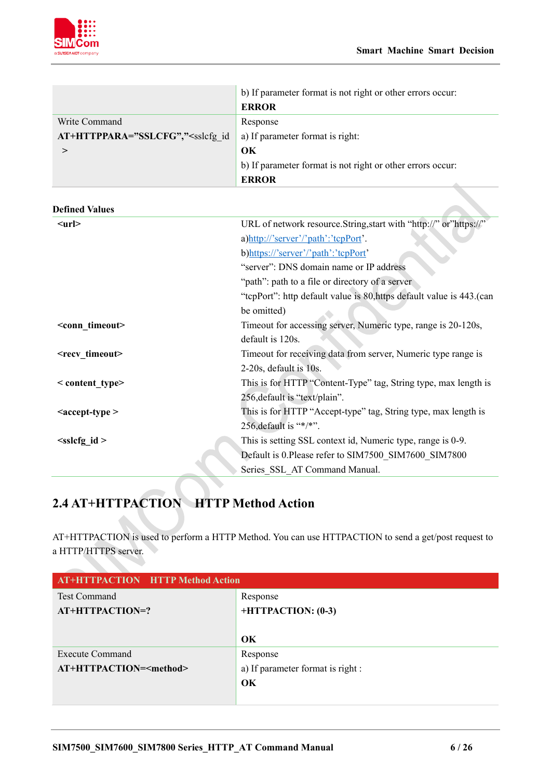

|                                                                                                 | b) If parameter format is not right or other errors occur:<br><b>ERROR</b> |
|-------------------------------------------------------------------------------------------------|----------------------------------------------------------------------------|
| Write Command                                                                                   | Response                                                                   |
| AT+HTTPPARA="SSLCFG"," <sslcfg_id< th=""><th>a) If parameter format is right:</th></sslcfg_id<> | a) If parameter format is right:                                           |
| $\rm{~}$                                                                                        | OK                                                                         |
|                                                                                                 | b) If parameter format is not right or other errors occur:                 |
|                                                                                                 | <b>ERROR</b>                                                               |
| <b>Defined Values</b>                                                                           |                                                                            |
| $<$ url $>$                                                                                     | URL of network resource.String,start with "http://" or"https://"           |
|                                                                                                 | a)http://'server'/'path':'tcpPort'.                                        |
|                                                                                                 | b)https://'server'/'path':'tcpPort'                                        |
|                                                                                                 | "server": DNS domain name or IP address                                    |
|                                                                                                 | "path": path to a file or directory of a server                            |
|                                                                                                 | "tepPort": http default value is 80, https default value is 443. (can      |
|                                                                                                 | be omitted)                                                                |
| <conn timeout=""></conn>                                                                        | Timeout for accessing server, Numeric type, range is 20-120s,              |
|                                                                                                 | default is 120s.                                                           |
| <recv timeout=""></recv>                                                                        | Timeout for receiving data from server, Numeric type range is              |
|                                                                                                 | 2-20s, default is 10s.                                                     |
| < content type>                                                                                 | This is for HTTP "Content-Type" tag, String type, max length is            |
|                                                                                                 | 256, default is "text/plain".                                              |
| <accept-type></accept-type>                                                                     | This is for HTTP "Accept-type" tag, String type, max length is             |
|                                                                                                 | 256, default is "*/*".                                                     |
| $\leq$ sslcfg id >                                                                              | This is setting SSL context id, Numeric type, range is 0-9.                |
|                                                                                                 | Default is 0.Please refer to SIM7500_SIM7600_SIM7800                       |
|                                                                                                 | Series SSL AT Command Manual.                                              |
|                                                                                                 |                                                                            |

# <span id="page-6-0"></span>**2.4 AT+HTTPACTION HTTP Method Action**

AT+HTTPACTION is used to perform a HTTP Method. You can use HTTPACTION to send a get/post request to a HTTP/HTTPS server.

| <b>AT+HTTPACTION HTTP Method Action</b> |                                   |
|-----------------------------------------|-----------------------------------|
| <b>Test Command</b>                     | Response                          |
| AT+HTTPACTION=?                         | +HTTPACTION: (0-3)                |
|                                         |                                   |
|                                         | $\alpha$                          |
| Execute Command                         | Response                          |
| AT+HTTPACTION= <method></method>        | a) If parameter format is right : |
|                                         | OK                                |
|                                         |                                   |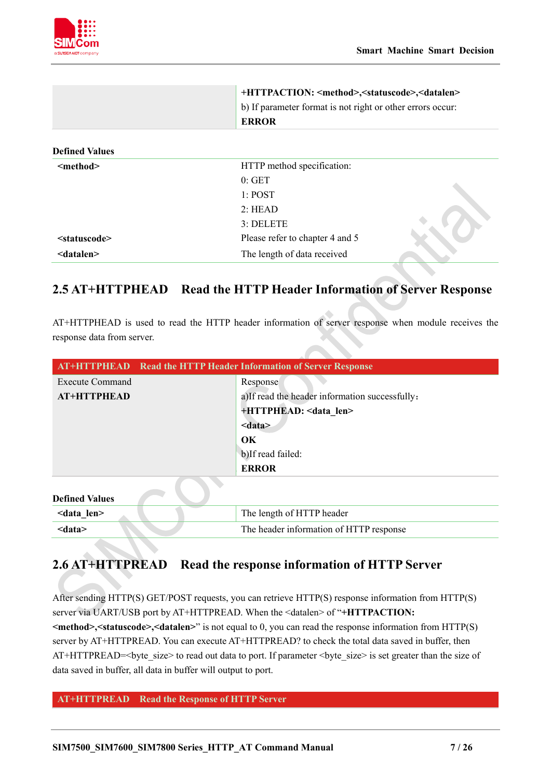

|                           | +HTTPACTION: <method>,<statuscode>,<datalen><br/>b) If parameter format is not right or other errors occur:<br/><b>ERROR</b></datalen></statuscode></method> |  |
|---------------------------|--------------------------------------------------------------------------------------------------------------------------------------------------------------|--|
| <b>Defined Values</b>     |                                                                                                                                                              |  |
| <method></method>         | HTTP method specification:                                                                                                                                   |  |
|                           | 0: GET                                                                                                                                                       |  |
|                           | 1: POST                                                                                                                                                      |  |
|                           | 2: HEAD                                                                                                                                                      |  |
|                           | 3: DELETE                                                                                                                                                    |  |
| <statuscode></statuscode> | Please refer to chapter 4 and 5                                                                                                                              |  |
| <datalen></datalen>       | The length of data received                                                                                                                                  |  |

# <span id="page-7-0"></span>**2.5 AT+HTTPHEAD Read the HTTP Header Information of Server Response**

AT+HTTPHEAD is used to read the HTTP header information of server response when module receives the response data from server.

|                        | <b>AT+HTTPHEAD</b> Read the HTTP Header Information of Server Response |
|------------------------|------------------------------------------------------------------------|
| <b>Execute Command</b> | Response                                                               |
| <b>AT+HTTPHEAD</b>     | a)If read the header information successfully:                         |
|                        | +HTTPHEAD: <data len=""></data>                                        |
|                        | $<$ data $>$                                                           |
|                        | $\alpha$                                                               |
|                        | b)If read failed:                                                      |
|                        | <b>ERROR</b>                                                           |
| <b>Defined Values</b>  |                                                                        |
| <data len=""></data>   | The length of HTTP header                                              |
| $<$ data $>$           | The header information of HTTP response                                |

# <span id="page-7-1"></span>**2.6 AT+HTTPREAD Read the response information of HTTP Server**

After sending HTTP(S) GET/POST requests, you can retrieve HTTP(S) response information from HTTP(S) server via UART/USB port by AT+HTTPREAD. When the <datalen> of "**+HTTPACTION: <method>,<statuscode>,<datalen>**" is not equal to 0, you can read the response information from HTTP(S) server by AT+HTTPREAD. You can execute AT+HTTPREAD? to check the total data saved in buffer, then AT+HTTPREAD=<br/>shown bytestom read out data to port. If parameter <br/>shown size> is set greater than the size of data saved in buffer, all data in buffer will output to port.

### **AT+HTTPREAD Read the Response of HTTP Server**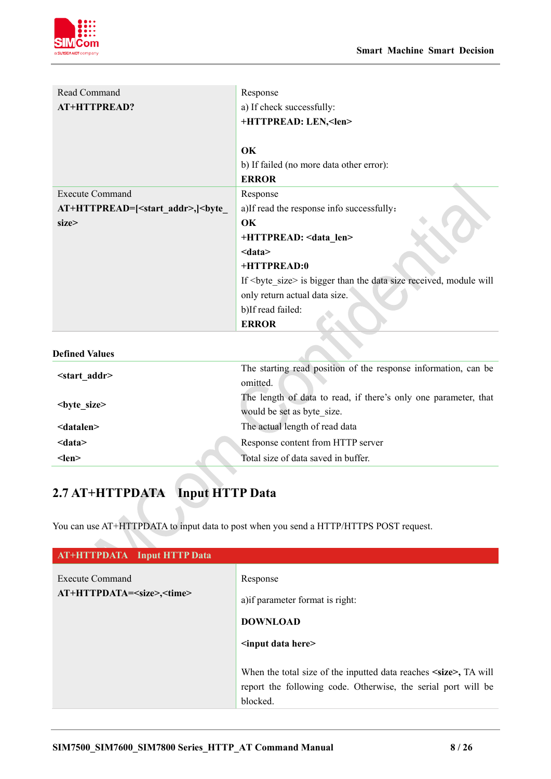

| Read Command                                     | Response                                                            |
|--------------------------------------------------|---------------------------------------------------------------------|
| AT+HTTPREAD?                                     | a) If check successfully:                                           |
|                                                  | +HTTPREAD: LEN, <len></len>                                         |
|                                                  |                                                                     |
|                                                  | OK                                                                  |
|                                                  | b) If failed (no more data other error):                            |
|                                                  | <b>ERROR</b>                                                        |
| <b>Execute Command</b>                           | Response                                                            |
| AT+HTTPREAD=[ <start addr="">,]<br/>byte</start> | a) If read the response info successfully:                          |
| size>                                            | OK                                                                  |
|                                                  | +HTTPREAD: <data len=""></data>                                     |
|                                                  | $<$ data $>$                                                        |
|                                                  | +HTTPREAD:0                                                         |
|                                                  | If<br>byte_size> is bigger than the data size received, module will |
|                                                  | only return actual data size.                                       |
|                                                  | b)If read failed:                                                   |
|                                                  | <b>ERROR</b>                                                        |

#### **Defined Values**

| $\leq$ start addr>  | The starting read position of the response information, can be  |
|---------------------|-----------------------------------------------------------------|
|                     | omitted.                                                        |
| $<$ byte size $>$   | The length of data to read, if there's only one parameter, that |
|                     | would be set as byte size.                                      |
| <datalen></datalen> | The actual length of read data                                  |
| $<$ data $>$        | Response content from HTTP server                               |
| $<$ len $>$         | Total size of data saved in buffer.                             |
|                     |                                                                 |

 $\mathcal{N}$ 

# <span id="page-8-0"></span>**2.7 AT+HTTPDATA Input HTTP Data**

You can use AT+HTTPDATA to input data to post when you send a HTTP/HTTPS POST request.

| <b>AT+HTTPDATA</b> Input HTTP Data                                                   |                                                                                                                                                                                                                                 |
|--------------------------------------------------------------------------------------|---------------------------------------------------------------------------------------------------------------------------------------------------------------------------------------------------------------------------------|
| Execute Command<br>Response<br>AT+HTTPDATA= <size>,<time><br/>blocked.</time></size> | a) if parameter format is right:<br><b>DOWNLOAD</b><br>$\le$ input data here $\ge$<br>When the total size of the inputted data reaches <size>, TA will<br/>report the following code. Otherwise, the serial port will be</size> |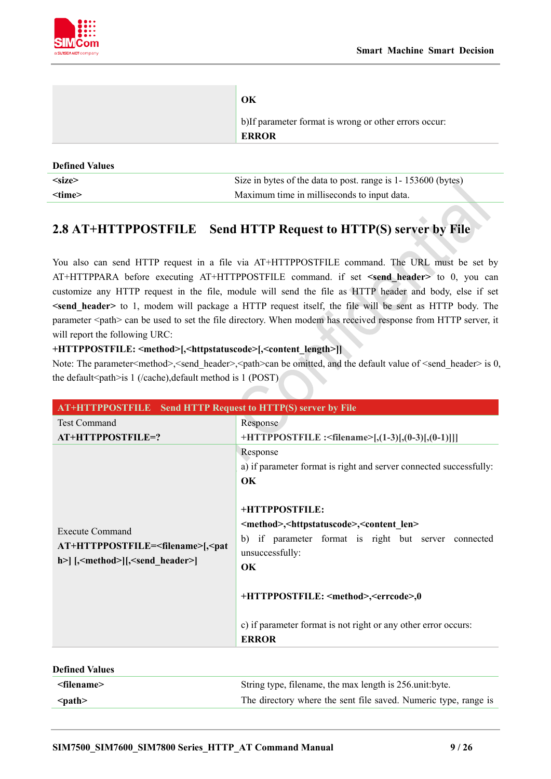

|                       | OK<br>b) If parameter format is wrong or other errors occur:<br><b>ERROR</b> |
|-----------------------|------------------------------------------------------------------------------|
| <b>Defined Values</b> |                                                                              |
| $<$ size $>$          | Size in bytes of the data to post. range is 1-153600 (bytes)                 |

# **2.8 AT+HTTPPOSTFILE Send HTTP Request to HTTP(S) server by File**

<span id="page-9-0"></span>**<time>** Maximum time in milliseconds to input data.

You also can send HTTP request in a file via AT+HTTPPOSTFILE command. The URL must be set by AT+HTTPPARA before executing AT+HTTPPOSTFILE command. if set **<send\_header>** to 0, you can customize any HTTP request in the file, module will send the file as HTTP header and body, else if set **<send\_header>** to 1, modem will package a HTTP request itself, the file will be sent as HTTP body. The parameter <path> can be used to set the file directory. When modem has received response from HTTP server, it will report the following URC:

## **+HTTPPOSTFILE: <method>[,<httpstatuscode>[,<content\_length>]]**

Note: The parameter<method>, <send\_header>, <path>can be omitted, and the default value of <send\_header> is 0, the default<path>is 1 (/cache),default method is 1 (POST)

| AT+HTTPPOSTFILE Send HTTP Request to HTTP(S) server by File                                                                                                        |                                                                                                                                                                                                                                                                                                                                                                                                                                    |  |
|--------------------------------------------------------------------------------------------------------------------------------------------------------------------|------------------------------------------------------------------------------------------------------------------------------------------------------------------------------------------------------------------------------------------------------------------------------------------------------------------------------------------------------------------------------------------------------------------------------------|--|
| <b>Test Command</b>                                                                                                                                                | Response                                                                                                                                                                                                                                                                                                                                                                                                                           |  |
| AT+HTTPPOSTFILE=?                                                                                                                                                  | +HTTPPOSTFILE : <filename>[,(1-3)[,(0-3)[,(0-1)]]]</filename>                                                                                                                                                                                                                                                                                                                                                                      |  |
| <b>Execute Command</b><br>AT+HTTPPOSTFILE= <filename>[,<pat<br>h&gt;  [,<method> [,<send header="">]<br/><b>Defined Values</b></send></method></pat<br></filename> | Response<br>a) if parameter format is right and server connected successfully:<br>OK<br>+HTTPPOSTFILE:<br><method>,<httpstatuscode>,<content len=""><br/>b) if parameter format is right but server connected<br/>unsuccessfully:<br/><b>OK</b><br/>+HTTPPOSTFILE: <method>,<errcode>,0<br/>c) if parameter format is not right or any other error occurs:<br/><b>ERROR</b></errcode></method></content></httpstatuscode></method> |  |
| <filename></filename>                                                                                                                                              | String type, filename, the max length is 256 unit byte.                                                                                                                                                                                                                                                                                                                                                                            |  |

**<path>** The directory where the sent file saved. Numeric type, range is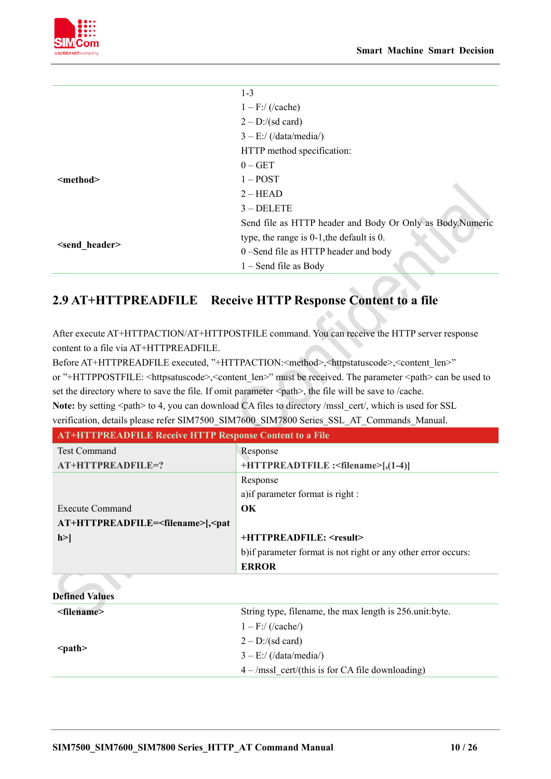

|                         | $1 - 3$                                                   |
|-------------------------|-----------------------------------------------------------|
|                         | $1 - F$ :/ (/cache)                                       |
|                         | $2 - D$ :/(sd card)                                       |
|                         | $3 - E$ :/ (/data/media/)                                 |
|                         | HTTP method specification:                                |
| <method></method>       | $0 - GET$                                                 |
|                         | $1 - POST$                                                |
|                         | $2 - HEAD$                                                |
|                         | $3 - DELETE$                                              |
| <send header=""></send> | Send file as HTTP header and Body Or Only as Body.Numeric |
|                         | type, the range is $0-1$ , the default is $0$ .           |
|                         | 0-Send file as HTTP header and body                       |
|                         | $1 -$ Send file as Body                                   |

# <span id="page-10-0"></span>**2.9 AT+HTTPREADFILE Receive HTTP Response Content to a file**

After execute AT+HTTPACTION/AT+HTTPOSTFILE command. You can receive the HTTP server response content to a file via AT+HTTPREADFILE.

Before AT+HTTPREADFILE executed, "+HTTPACTION:<method>,<httpstatuscode>,<content\_len>" or "+HTTPPOSTFILE: <httpsatuscode>,<content\_len>" must be received. The parameter <path> can be used to set the directory where to save the file. If omit parameter  $\langle$  path>, the file will be save to /cache. Note: by setting <path> to 4, you can download CA files to directory /mssl\_cert/, which is used for SSL

| verification, details please refer SIM7500 SIM7600 SIM7800 Series SSL AT Commands Manual. |                                                                |
|-------------------------------------------------------------------------------------------|----------------------------------------------------------------|
| <b>AT+HTTPREADFILE Receive HTTP Response Content to a File</b>                            |                                                                |
| <b>Test Command</b>                                                                       | Response                                                       |
| AT+HTTPREADFILE=?                                                                         | +HTTPREADTFILE : <filename>[,(1-4)]</filename>                 |
|                                                                                           | Response                                                       |
|                                                                                           | a) if parameter format is right :                              |
| <b>Execute Command</b>                                                                    | $\alpha$                                                       |
| AT+HTTPREADFILE= <filename>[,<pat< td=""><td></td></pat<></filename>                      |                                                                |
| h >                                                                                       | $+HTTPREADFILE: \leq result$                                   |
|                                                                                           | b) if parameter format is not right or any other error occurs: |
|                                                                                           | <b>ERROR</b>                                                   |
|                                                                                           |                                                                |

| <b>Defined Values</b> |                                                         |
|-----------------------|---------------------------------------------------------|
| <filename></filename> | String type, filename, the max length is 256 unit byte. |
| $<$ path $>$          | $1 - F$ :/ (/cache/)                                    |
|                       | $2 - D$ :/(sd card)                                     |
|                       | $3 - E$ :/ (/data/media/)                               |
|                       | $4 - /mssl$ cert/(this is for CA file downloading)      |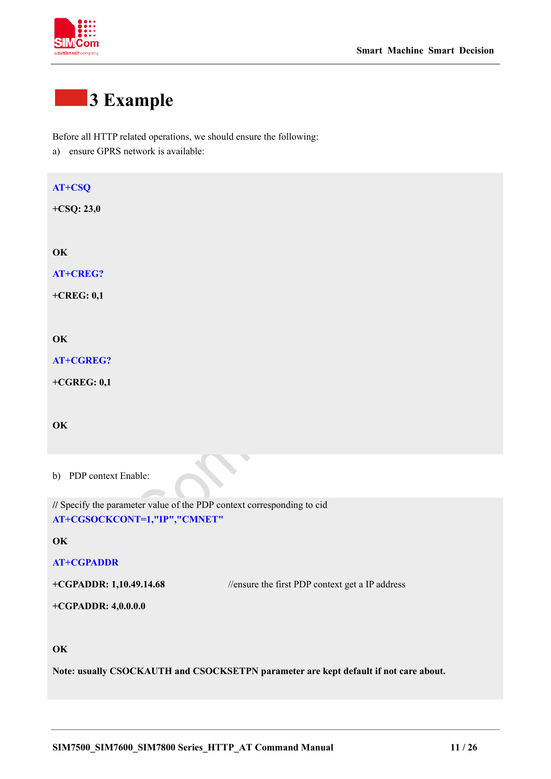

# <span id="page-11-0"></span>**3 Example**

Before all HTTP related operations, we should ensure the following:

a) ensure GPRS network is available:

# **AT+CSQ**

**+CSQ: 23,0**

**OK**

**AT+CREG?**

**+CREG: 0,1**

## **OK**

**AT+CGREG?**

**+CGREG: 0,1**

## **OK**

b) PDP context Enable:

**//** Specify the parameter value of the PDP context corresponding to cid **AT+CGSOCKCONT=1,"IP","CMNET"**

**OK**

### **AT+CGPADDR**

**+CGPADDR: 1,10.49.14.68** //ensure the first PDP context get a IP address

**+CGPADDR: 4,0.0.0.0**

# **OK**

**Note: usually CSOCKAUTH and CSOCKSETPN parameter are kept default if not care about.**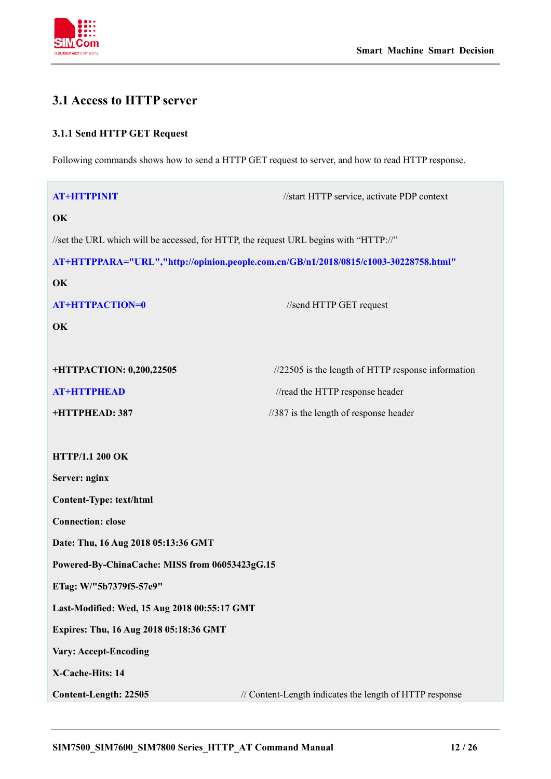

# <span id="page-12-0"></span>**3.1 Access to HTTP server**

# <span id="page-12-1"></span>**3.1.1 Send HTTP GET Request**

Following commands shows how to send a HTTP GET request to server, and how to read HTTP response.

| <b>AT+HTTPINIT</b>                                                                    | //start HTTP service, activate PDP context                                           |
|---------------------------------------------------------------------------------------|--------------------------------------------------------------------------------------|
| OK                                                                                    |                                                                                      |
| //set the URL which will be accessed, for HTTP, the request URL begins with "HTTP://" |                                                                                      |
|                                                                                       | AT+HTTPPARA="URL","http://opinion.people.com.cn/GB/n1/2018/0815/c1003-30228758.html" |
| OK                                                                                    |                                                                                      |
| <b>AT+HTTPACTION=0</b>                                                                | //send HTTP GET request                                                              |
| OK                                                                                    |                                                                                      |
| +HTTPACTION: 0,200,22505                                                              | $\frac{1}{22505}$ is the length of HTTP response information                         |
| <b>AT+HTTPHEAD</b>                                                                    | //read the HTTP response header                                                      |
| +HTTPHEAD: 387                                                                        | $\frac{1}{387}$ is the length of response header                                     |
| <b>HTTP/1.1 200 OK</b>                                                                |                                                                                      |
| Server: nginx                                                                         |                                                                                      |
| <b>Content-Type: text/html</b>                                                        |                                                                                      |
| <b>Connection: close</b>                                                              |                                                                                      |
| Date: Thu, 16 Aug 2018 05:13:36 GMT                                                   |                                                                                      |
| Powered-By-ChinaCache: MISS from 06053423gG.15                                        |                                                                                      |
| ETag: W/"5b7379f5-57e9"                                                               |                                                                                      |
| Last-Modified: Wed, 15 Aug 2018 00:55:17 GMT                                          |                                                                                      |
| Expires: Thu, 16 Aug 2018 05:18:36 GMT                                                |                                                                                      |
| <b>Vary: Accept-Encoding</b>                                                          |                                                                                      |
| X-Cache-Hits: 14                                                                      |                                                                                      |
| Content-Length: 22505                                                                 | // Content-Length indicates the length of HTTP response                              |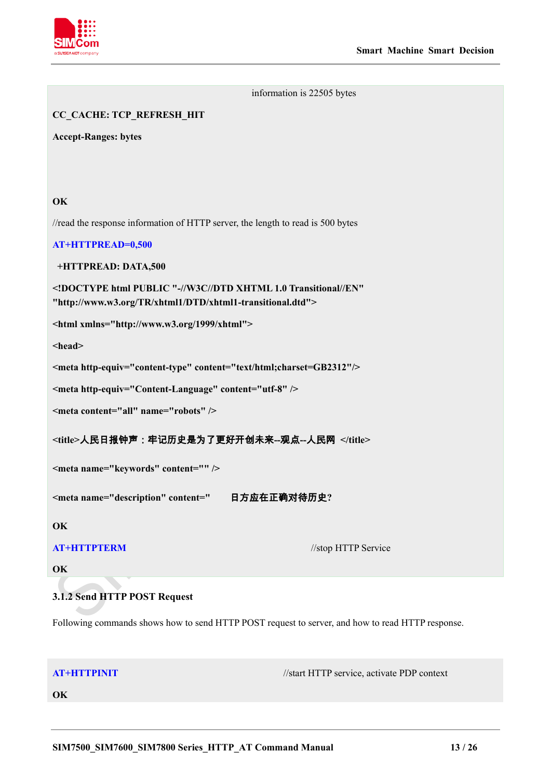

#### information is 22505 bytes

# **CC\_CACHE: TCP\_REFRESH\_HIT**

**Accept-Ranges: bytes**

# **OK**

//read the response information of HTTP server, the length to read is 500 bytes

### **AT+HTTPREAD=0,500**

**+HTTPREAD: DATA,500**

**<!DOCTYPE html PUBLIC "-//W3C//DTD XHTML 1.0 Transitional//EN" "http://www.w3.org/TR/xhtml1/DTD/xhtml1-transitional.dtd">**

**<html xmlns="http://www.w3.org/1999/xhtml">**

**<head>**

**<meta http-equiv="content-type" content="text/html;charset=GB2312"/>**

**<meta http-equiv="Content-Language" content="utf-8" />**

**<meta content="all" name="robots" />**

**<title>**人民日报钟声:牢记历史是为了更好开创未来**--**观点**--**人民网 **</title>**

**<meta name="keywords" content="" />**

**<meta name="description" content="** 日方应在正确对待历史**?**

**OK**

**AT+HTTPTERM** //stop HTTP Service

<span id="page-13-0"></span>**OK**

# **3.1.2 Send HTTP POST Request**

Following commands shows how to send HTTP POST request to server, and how to read HTTP response.

**AT+HTTPINIT** //start HTTP service, activate PDP context

**OK**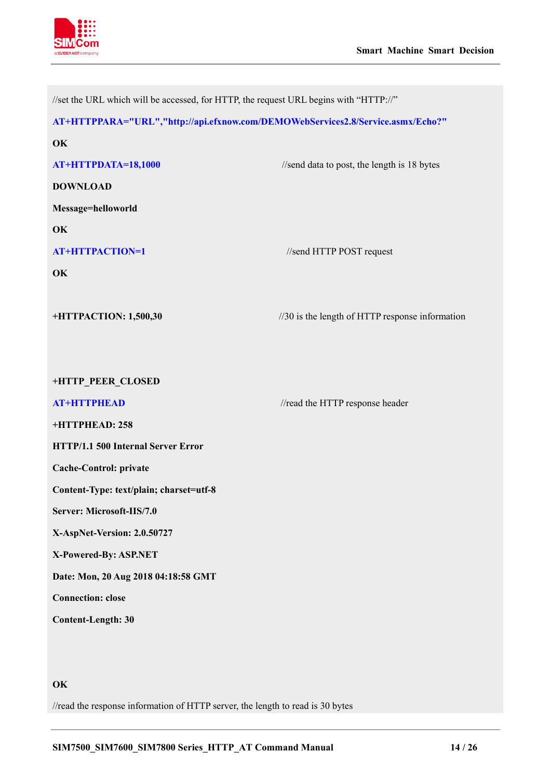

| //set the URL which will be accessed, for HTTP, the request URL begins with "HTTP://" |                                                 |
|---------------------------------------------------------------------------------------|-------------------------------------------------|
| AT+HTTPPARA="URL","http://api.efxnow.com/DEMOWebServices2.8/Service.asmx/Echo?"       |                                                 |
| OK                                                                                    |                                                 |
| AT+HTTPDATA=18,1000                                                                   | //send data to post, the length is 18 bytes     |
| <b>DOWNLOAD</b>                                                                       |                                                 |
| Message=helloworld                                                                    |                                                 |
| OK                                                                                    |                                                 |
| <b>AT+HTTPACTION=1</b>                                                                | //send HTTP POST request                        |
| OK                                                                                    |                                                 |
|                                                                                       |                                                 |
| +HTTPACTION: 1,500,30                                                                 | //30 is the length of HTTP response information |
|                                                                                       |                                                 |
|                                                                                       |                                                 |
| +HTTP_PEER_CLOSED                                                                     |                                                 |
| <b>AT+HTTPHEAD</b>                                                                    | //read the HTTP response header                 |
| +HTTPHEAD: 258                                                                        |                                                 |
| HTTP/1.1 500 Internal Server Error                                                    |                                                 |
| <b>Cache-Control: private</b>                                                         |                                                 |
| Content-Type: text/plain; charset=utf-8                                               |                                                 |
| Server: Microsoft-IIS/7.0                                                             |                                                 |
| X-AspNet-Version: 2.0.50727                                                           |                                                 |
| X-Powered-By: ASP.NET                                                                 |                                                 |
| Date: Mon, 20 Aug 2018 04:18:58 GMT                                                   |                                                 |
| <b>Connection: close</b>                                                              |                                                 |
| <b>Content-Length: 30</b>                                                             |                                                 |
|                                                                                       |                                                 |
|                                                                                       |                                                 |

# **OK**

//read the response information of HTTP server, the length to read is 30 bytes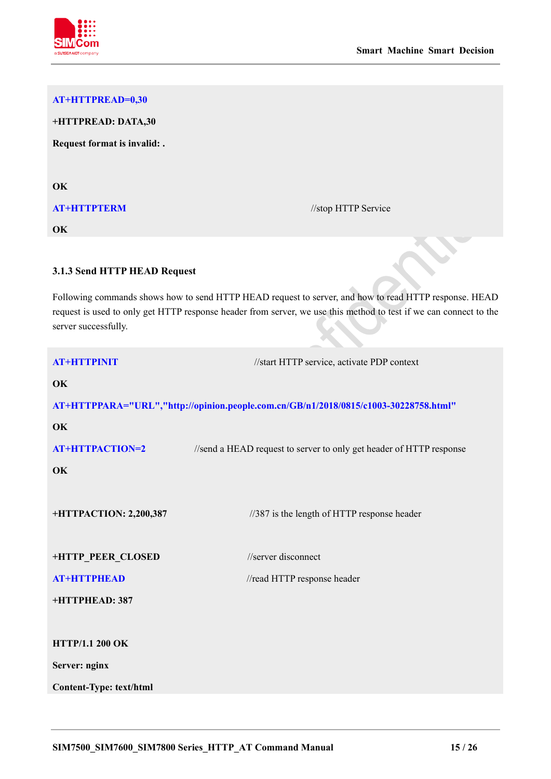

# **AT+HTTPREAD=0,30**

**+HTTPREAD: DATA,30**

**Request format is invalid: .**

**OK**

# **AT+HTTPTERM** //stop HTTP Service

**OK**

# <span id="page-15-0"></span>**3.1.3 Send HTTP HEAD Request**

Following commands shows how to send HTTP HEAD request to server, and how to read HTTP response. HEAD request is used to only get HTTP response header from server, we use this method to test if we can connect to the server successfully.

| <b>AT+HTTPINIT</b>             | //start HTTP service, activate PDP context                                           |
|--------------------------------|--------------------------------------------------------------------------------------|
| OK                             |                                                                                      |
|                                | AT+HTTPPARA="URL","http://opinion.people.com.cn/GB/n1/2018/0815/c1003-30228758.html" |
| OK                             |                                                                                      |
| <b>AT+HTTPACTION=2</b>         | //send a HEAD request to server to only get header of HTTP response                  |
| OK                             |                                                                                      |
| +HTTPACTION: 2,200,387         | //387 is the length of HTTP response header                                          |
| +HTTP_PEER_CLOSED              | //server disconnect                                                                  |
| <b>AT+HTTPHEAD</b>             | //read HTTP response header                                                          |
| +HTTPHEAD: 387                 |                                                                                      |
|                                |                                                                                      |
| <b>HTTP/1.1 200 OK</b>         |                                                                                      |
| Server: nginx                  |                                                                                      |
| <b>Content-Type: text/html</b> |                                                                                      |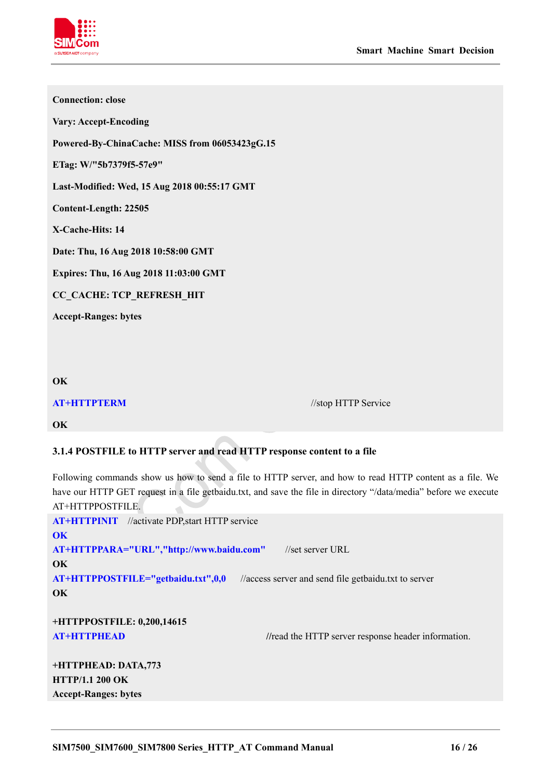

| <b>Connection: close</b>                       |                     |
|------------------------------------------------|---------------------|
| <b>Vary: Accept-Encoding</b>                   |                     |
| Powered-By-ChinaCache: MISS from 06053423gG.15 |                     |
| ETag: W/"5b7379f5-57e9"                        |                     |
| Last-Modified: Wed, 15 Aug 2018 00:55:17 GMT   |                     |
| Content-Length: 22505                          |                     |
| X-Cache-Hits: 14                               |                     |
| Date: Thu, 16 Aug 2018 10:58:00 GMT            |                     |
| Expires: Thu, 16 Aug 2018 11:03:00 GMT         |                     |
| CC_CACHE: TCP_REFRESH_HIT                      |                     |
| <b>Accept-Ranges: bytes</b>                    |                     |
|                                                |                     |
|                                                |                     |
| OK                                             |                     |
| <b>AT+HTTPTERM</b>                             | //stop HTTP Service |

**OK**

# <span id="page-16-0"></span>**3.1.4 POSTFILE to HTTP server and read HTTP response content to a file**

Following commands show us how to send a file to HTTP server, and how to read HTTP content as a file. We have our HTTP GET request in a file getbaidu.txt, and save the file in directory "/data/media" before we execute AT+HTTPPOSTFILE.  $\overline{\phantom{a}}$ 

| <b>AT+HTTPINIT</b> //activate PDP, start HTTP service                                      |  |
|--------------------------------------------------------------------------------------------|--|
| OK                                                                                         |  |
| AT+HTTPPARA="URL","http://www.baidu.com"<br>//set server URL                               |  |
| OK                                                                                         |  |
| AT+HTTPPOSTFILE="getbaidu.txt",0,0<br>//access server and send file getbaidu.txt to server |  |
| OK                                                                                         |  |
| +HTTPPOSTFILE: 0,200,14615                                                                 |  |
| AT+HTTPHEAD<br>//read the HTTP server response header information.                         |  |
|                                                                                            |  |
| $\blacksquare$ iternite in $\blacksquare$                                                  |  |

**+HTTPHEAD: DATA,773 HTTP/1.1 200 OK Accept-Ranges: bytes**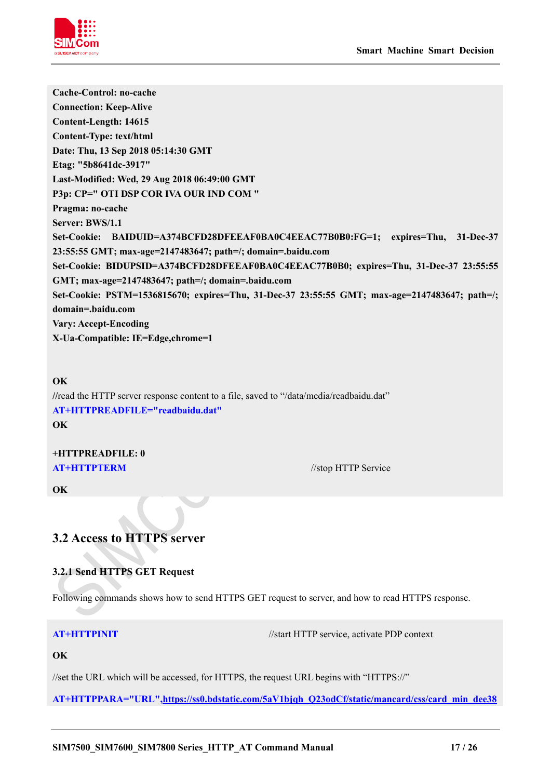

**Cache-Control: no-cache Connection: Keep-Alive Content-Length: 14615 Content-Type: text/html Date: Thu, 13 Sep 2018 05:14:30 GMT Etag: "5b8641dc-3917" Last-Modified: Wed, 29 Aug 2018 06:49:00 GMT P3p: CP=" OTI DSP COR IVA OUR IND COM " Pragma: no-cache Server: BWS/1.1 Set-Cookie: BAIDUID=A374BCFD28DFEEAF0BA0C4EEAC77B0B0:FG=1; expires=Thu, 31-Dec-37 23:55:55 GMT; max-age=2147483647; path=/; domain=.baidu.com Set-Cookie: BIDUPSID=A374BCFD28DFEEAF0BA0C4EEAC77B0B0; expires=Thu, 31-Dec-37 23:55:55 GMT; max-age=2147483647; path=/; domain=.baidu.com Set-Cookie: PSTM=1536815670; expires=Thu, 31-Dec-37 23:55:55 GMT; max-age=2147483647; path=/; domain=.baidu.com Vary: Accept-Encoding X-Ua-Compatible: IE=Edge,chrome=1**

**OK //**read the HTTP server response content to a file, saved to "/data/media/readbaidu.dat" **AT+HTTPREADFILE="readbaidu.dat" OK**

# **+HTTPREADFILE: 0 AT+HTTPTERM** //stop HTTP Service

# **OK**

# <span id="page-17-0"></span>**3.2 Access to HTTPS server**

# <span id="page-17-1"></span>**3.2.1 Send HTTPS GET Request**

Following commands shows how to send HTTPS GET request to server, and how to read HTTPS response.

**AT+HTTPINIT** //start HTTP service, activate PDP context

# **OK**

//set the URL which will be accessed, for HTTPS, the request URL begins with "HTTPS://"

**AT+HTTPPARA="URL"[,https://ss0.bdstatic.com/5aV1bjqh\\_Q23odCf/static/mancard/css/card\\_min\\_dee38](https://ss0.bdstatic.com/5aV1bjqh_Q23odCf/static/mancard/css/card_min_dee38e45.css)**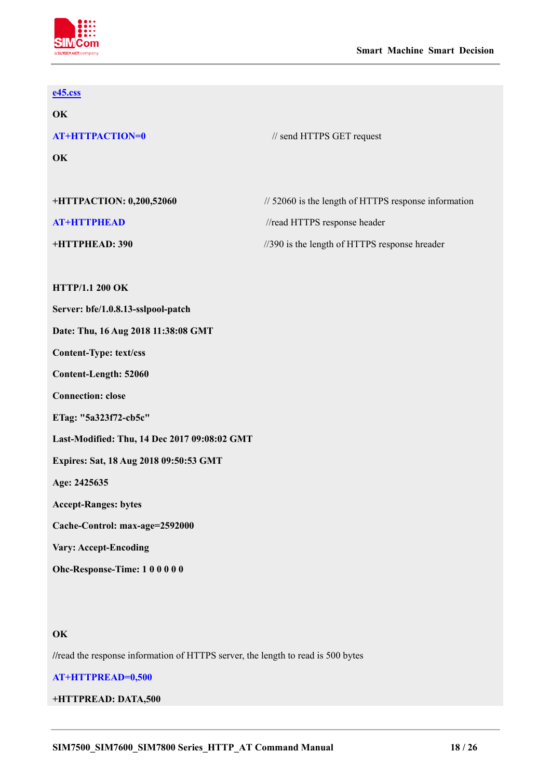

# **[e45.css](https://ss0.bdstatic.com/5aV1bjqh_Q23odCf/static/mancard/css/card_min_dee38e45.css)**

**OK**

**OK**

**AT+HTTPACTION=0** // send HTTPS GET request

| +HTTPACTION: 0,200,52060 | $\frac{1}{2000}$ is the length of HTTPS response information |
|--------------------------|--------------------------------------------------------------|
| AT+HTTPHEAD              | //read HTTPS response header                                 |
| +HTTPHEAD: 390           | $\frac{1}{390}$ is the length of HTTPS response hreader      |

## **HTTP/1.1 200 OK**

**Server: bfe/1.0.8.13-sslpool-patch**

**Date: Thu, 16 Aug 2018 11:38:08 GMT**

**Content-Type: text/css**

**Content-Length: 52060**

**Connection: close**

**ETag: "5a323f72-cb5c"**

**Last-Modified: Thu, 14 Dec 2017 09:08:02 GMT**

**Expires: Sat, 18 Aug 2018 09:50:53 GMT**

**Age: 2425635**

**Accept-Ranges: bytes**

**Cache-Control: max-age=2592000**

**Vary: Accept-Encoding**

**Ohc-Response-Time: 1 0 0 0 0 0**

### **OK**

**//**read the response information of HTTPS server, the length to read is 500 bytes

### **AT+HTTPREAD=0,500**

### **+HTTPREAD: DATA,500**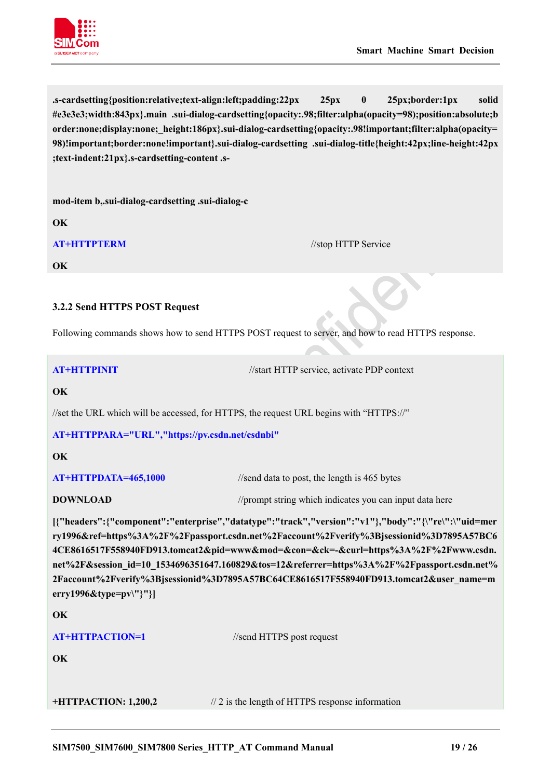

**.s-cardsetting{position:relative;text-align:left;padding:22px 25px 0 25px;border:1px solid #e3e3e3;width:843px}.main .sui-dialog-cardsetting{opacity:.98;filter:alpha(opacity=98);position:absolute;b order:none;display:none;\_height:186px}.sui-dialog-cardsetting{opacity:.98!important;filter:alpha(opacity= 98)!important;border:none!important}.sui-dialog-cardsetting .sui-dialog-title{height:42px;line-height:42px ;text-indent:21px}.s-cardsetting-content .s-**

**mod-item b,.sui-dialog-cardsetting .sui-dialog-c**

**OK**

**AT+HTTPTERM** //stop HTTP Service

**OK**

# <span id="page-19-0"></span>**3.2.2 Send HTTPS POST Request**

Following commands shows how to send HTTPS POST request to server, and how to read HTTPS response.

**AT+HTTPINIT** //start HTTP service, activate PDP context

### **OK**

//set the URL which will be accessed, for HTTPS, the request URL begins with "HTTPS://"

### **AT+HTTPPARA="URL","https://pv.csdn.net/csdnbi"**

**OK**

**AT+HTTPDATA=465,1000** //send data to post, the length is 465 bytes

### **DOWNLOAD** //prompt string which indicates you can input data here

**[{"headers":{"component":"enterprise","datatype":"track","version":"v1"},"body":"{\"re\":\"uid=mer ry1996&ref=https%3A%2F%2Fpassport.csdn.net%2Faccount%2Fverify%3Bjsessionid%3D7895A57BC6 4CE8616517F558940FD913.tomcat2&pid=www&mod=&con=&ck=-&curl=https%3A%2F%2Fwww.csdn. net%2F&session\_id=10\_1534696351647.160829&tos=12&referrer=https%3A%2F%2Fpassport.csdn.net% 2Faccount%2Fverify%3Bjsessionid%3D7895A57BC64CE8616517F558940FD913.tomcat2&user\_name=m erry1996&type=pv\"}"}]**

**OK**

| <b>AT+HTTPACTION=1</b> | //send HTTPS post request |
|------------------------|---------------------------|
| OK                     |                           |

**+HTTPACTION: 1,200,2** // 2 is the length of HTTPS response information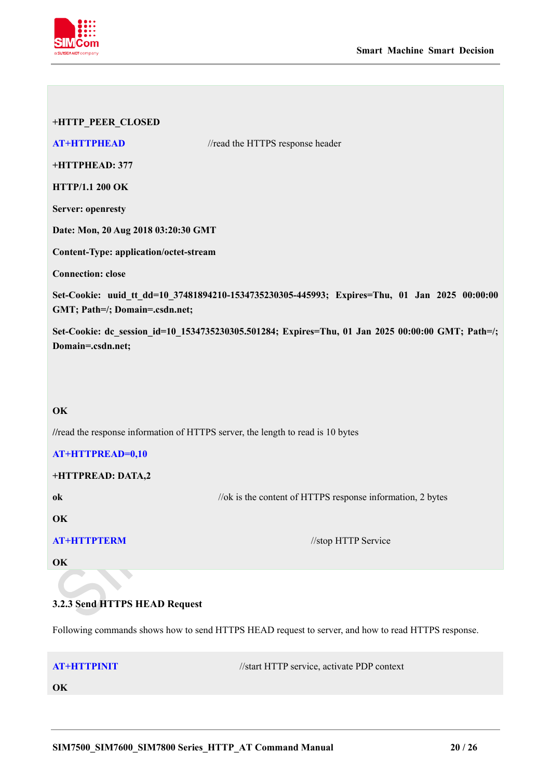

| +HTTP_PEER_CLOSED                                                               |                                                                                                   |
|---------------------------------------------------------------------------------|---------------------------------------------------------------------------------------------------|
| <b>AT+HTTPHEAD</b>                                                              | //read the HTTPS response header                                                                  |
| +HTTPHEAD: 377                                                                  |                                                                                                   |
| <b>HTTP/1.1 200 OK</b>                                                          |                                                                                                   |
| <b>Server: openresty</b>                                                        |                                                                                                   |
| Date: Mon, 20 Aug 2018 03:20:30 GMT                                             |                                                                                                   |
| Content-Type: application/octet-stream                                          |                                                                                                   |
| <b>Connection: close</b>                                                        |                                                                                                   |
| GMT; Path=/; Domain=.csdn.net;                                                  | Set-Cookie: uuid_tt_dd=10_37481894210-1534735230305-445993; Expires=Thu, 01 Jan 2025 00:00:00     |
| Domain=.csdn.net;                                                               | Set-Cookie: dc_session_id=10_1534735230305.501284; Expires=Thu, 01 Jan 2025 00:00:00 GMT; Path=/; |
|                                                                                 |                                                                                                   |
| OK                                                                              |                                                                                                   |
|                                                                                 |                                                                                                   |
| //read the response information of HTTPS server, the length to read is 10 bytes |                                                                                                   |
| <b>AT+HTTPREAD=0,10</b>                                                         |                                                                                                   |
| +HTTPREAD: DATA,2                                                               |                                                                                                   |
| ok                                                                              | //ok is the content of HTTPS response information, 2 bytes                                        |
| OK                                                                              |                                                                                                   |
| <b>AT+HTTPTERM</b>                                                              | //stop HTTP Service                                                                               |
| OK                                                                              |                                                                                                   |
|                                                                                 |                                                                                                   |

# <span id="page-20-0"></span>**3.2.3 Send HTTPS HEAD Request**

Following commands shows how to send HTTPS HEAD request to server, and how to read HTTPS response.

**AT+HTTPINIT** //start HTTP service, activate PDP context

**OK**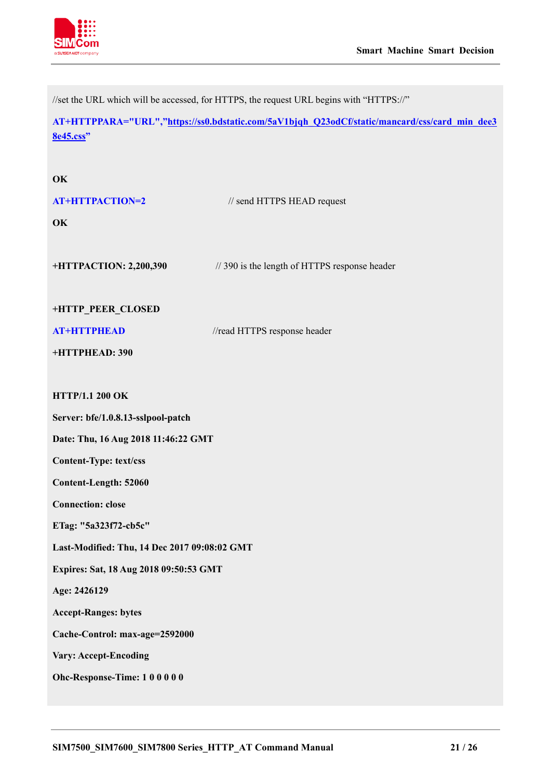

//set the URL which will be accessed, for HTTPS, the request URL begins with "HTTPS://"

**AT+HTTPPARA="URL",["https://ss0.bdstatic.com/5aV1bjqh\\_Q23odCf/static/mancard/css/card\\_min\\_dee3](https://ss0.bdstatic.com/5aV1bjqh_Q23odCf/static/mancard/css/card_min_dee38e45.css) [8e45.css"](https://ss0.bdstatic.com/5aV1bjqh_Q23odCf/static/mancard/css/card_min_dee38e45.css)**

| OK<br><b>AT+HTTPACTION=2</b><br>OK           | // send HTTPS HEAD request                    |
|----------------------------------------------|-----------------------------------------------|
| +HTTPACTION: 2,200,390                       | // 390 is the length of HTTPS response header |
| +HTTP_PEER_CLOSED                            |                                               |
| <b>AT+HTTPHEAD</b>                           | //read HTTPS response header                  |
| +HTTPHEAD: 390                               |                                               |
|                                              |                                               |
| <b>HTTP/1.1 200 OK</b>                       |                                               |
| Server: bfe/1.0.8.13-sslpool-patch           |                                               |
| Date: Thu, 16 Aug 2018 11:46:22 GMT          |                                               |
| <b>Content-Type: text/css</b>                |                                               |
| Content-Length: 52060                        |                                               |
| <b>Connection: close</b>                     |                                               |
| ETag: "5a323f72-cb5c"                        |                                               |
| Last-Modified: Thu, 14 Dec 2017 09:08:02 GMT |                                               |
| Expires: Sat, 18 Aug 2018 09:50:53 GMT       |                                               |
| Age: 2426129                                 |                                               |
| <b>Accept-Ranges: bytes</b>                  |                                               |
| Cache-Control: max-age=2592000               |                                               |
| <b>Vary: Accept-Encoding</b>                 |                                               |
| Ohc-Response-Time: 100000                    |                                               |
|                                              |                                               |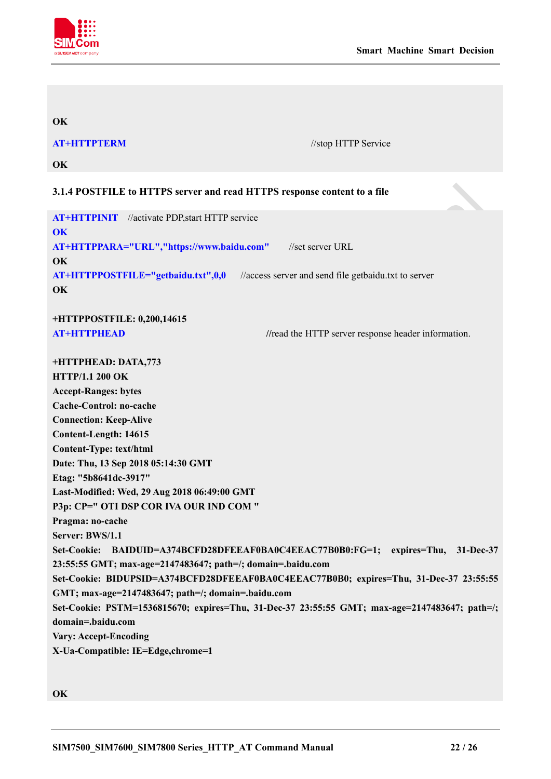

### **OK**

**AT+HTTPTERM** //stop HTTP Service

<span id="page-22-0"></span>**OK**

# **3.1.4 POSTFILE to HTTPS server and read HTTPS response content to a file**

**AT+HTTPINIT** //activate PDP,start HTTP service **OK AT+HTTPPARA="URL","https://www.baidu.com"** //set server URL **OK AT+HTTPPOSTFILE="getbaidu.txt",0,0** //access server and send file getbaidu.txt to server **OK**

**+HTTPPOSTFILE: 0,200,14615**

**AT+HTTPHEAD** //read the HTTP server response header information.

**+HTTPHEAD: DATA,773 HTTP/1.1 200 OK Accept-Ranges: bytes Cache-Control: no-cache Connection: Keep-Alive Content-Length: 14615 Content-Type: text/html Date: Thu, 13 Sep 2018 05:14:30 GMT Etag: "5b8641dc-3917" Last-Modified: Wed, 29 Aug 2018 06:49:00 GMT P3p: CP=" OTI DSP COR IVA OUR IND COM " Pragma: no-cache Server: BWS/1.1 Set-Cookie: BAIDUID=A374BCFD28DFEEAF0BA0C4EEAC77B0B0:FG=1; expires=Thu, 31-Dec-37 23:55:55 GMT; max-age=2147483647; path=/; domain=.baidu.com Set-Cookie: BIDUPSID=A374BCFD28DFEEAF0BA0C4EEAC77B0B0; expires=Thu, 31-Dec-37 23:55:55 GMT; max-age=2147483647; path=/; domain=.baidu.com Set-Cookie: PSTM=1536815670; expires=Thu, 31-Dec-37 23:55:55 GMT; max-age=2147483647; path=/; domain=.baidu.com Vary: Accept-Encoding X-Ua-Compatible: IE=Edge,chrome=1**

**OK**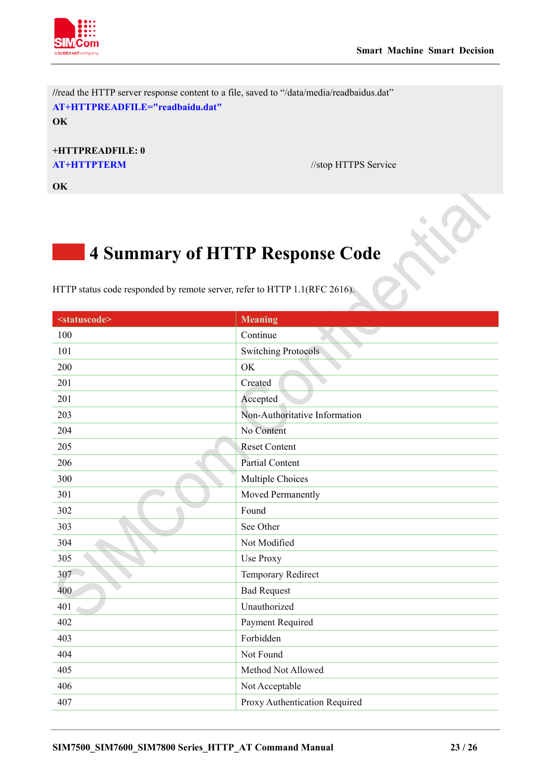

**//**read the HTTP server response content to a file, saved to "/data/media/readbaidus.dat" **AT+HTTPREADFILE="readbaidu.dat" OK**

**+HTTPREADFILE: 0 AT+HTTPTERM** //stop HTTPS Service

<span id="page-23-0"></span>**OK**

# **4 Summary of HTTP Response Code**

HTTP status code responded by remote server, refer to HTTP 1.1(RFC 2616).

| <statuscode></statuscode> | <b>Meaning</b>                |
|---------------------------|-------------------------------|
| 100                       | Continue                      |
| 101                       | <b>Switching Protocols</b>    |
| 200                       | OK                            |
| 201                       | Created                       |
| 201                       | Accepted                      |
| 203                       | Non-Authoritative Information |
| 204                       | No Content                    |
| 205                       | <b>Reset Content</b>          |
| 206                       | <b>Partial Content</b>        |
| 300                       | Multiple Choices              |
| 301                       | Moved Permanently             |
| 302                       | Found                         |
| 303                       | See Other                     |
| 304                       | Not Modified                  |
| 305                       | Use Proxy                     |
| 307                       | Temporary Redirect            |
| 400                       | <b>Bad Request</b>            |
| 401                       | Unauthorized                  |
| 402                       | Payment Required              |
| 403                       | Forbidden                     |
| 404                       | Not Found                     |
| 405                       | Method Not Allowed            |
| 406                       | Not Acceptable                |
| 407                       | Proxy Authentication Required |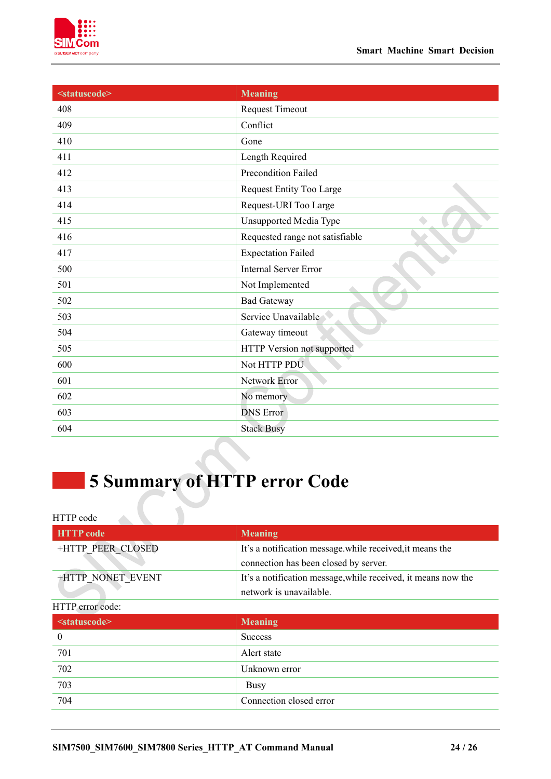



| <statuscode></statuscode> | <b>Meaning</b>                  |
|---------------------------|---------------------------------|
| 408                       | <b>Request Timeout</b>          |
| 409                       | Conflict                        |
| 410                       | Gone                            |
| 411                       | Length Required                 |
| 412                       | Precondition Failed             |
| 413                       | Request Entity Too Large        |
| 414                       | Request-URI Too Large           |
| 415                       | <b>Unsupported Media Type</b>   |
| 416                       | Requested range not satisfiable |
| 417                       | <b>Expectation Failed</b>       |
| 500                       | <b>Internal Server Error</b>    |
| 501                       | Not Implemented                 |
| 502                       | <b>Bad Gateway</b>              |
| 503                       | Service Unavailable             |
| 504                       | Gateway timeout                 |
| 505                       | HTTP Version not supported      |
| 600                       | Not HTTP PDU                    |
| 601                       | Network Error                   |
| 602                       | No memory                       |
| 603                       | <b>DNS</b> Error                |
| 604                       | <b>Stack Busy</b>               |

# <span id="page-24-0"></span>**Summary of HTTP error Code**

j.

| <b>HTTP</b> code  | <b>Meaning</b>                                                |
|-------------------|---------------------------------------------------------------|
| +HTTP PEER CLOSED | It's a notification message while received, it means the      |
|                   | connection has been closed by server.                         |
| +HTTP NONET EVENT | It's a notification message, while received, it means now the |
|                   | network is unavailable.                                       |

# HTTP error code:

| <statuscode></statuscode> | <b>Meaning</b>          |
|---------------------------|-------------------------|
| $\boldsymbol{0}$          | <b>Success</b>          |
| 701                       | Alert state             |
| 702                       | Unknown error           |
| 703                       | <b>Busy</b>             |
| 704                       | Connection closed error |